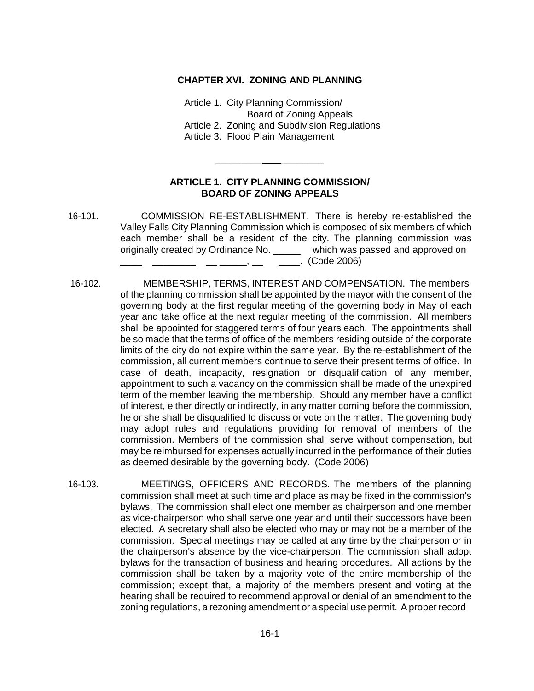### **CHAPTER XVI. ZONING AND PLANNING**

Article 1. City Planning Commission/ Board of Zoning Appeals Article 2. Zoning and Subdivision Regulations Article 3. Flood Plain Management

# **ARTICLE 1. CITY PLANNING COMMISSION/ BOARD OF ZONING APPEALS**

\_\_\_\_\_\_\_\_\_ \_\_\_\_\_\_\_\_

- 16-101. COMMISSION RE-ESTABLISHMENT. There is hereby re-established the Valley Falls City Planning Commission which is composed of six members of which each member shall be a resident of the city. The planning commission was originally created by Ordinance No. \_\_\_\_\_ which was passed and approved on \_\_\_\_ \_\_\_\_\_\_\_\_ \_\_ \_\_\_\_\_, \_\_ \_\_\_\_. (Code 2006)
- 16-102. MEMBERSHIP, TERMS, INTEREST AND COMPENSATION. The members of the planning commission shall be appointed by the mayor with the consent of the governing body at the first regular meeting of the governing body in May of each year and take office at the next regular meeting of the commission. All members shall be appointed for staggered terms of four years each. The appointments shall be so made that the terms of office of the members residing outside of the corporate limits of the city do not expire within the same year. By the re-establishment of the commission, all current members continue to serve their present terms of office. In case of death, incapacity, resignation or disqualification of any member, appointment to such a vacancy on the commission shall be made of the unexpired term of the member leaving the membership. Should any member have a conflict of interest, either directly or indirectly, in any matter coming before the commission, he or she shall be disqualified to discuss or vote on the matter. The governing body may adopt rules and regulations providing for removal of members of the commission. Members of the commission shall serve without compensation, but may be reimbursed for expenses actually incurred in the performance of their duties as deemed desirable by the governing body. (Code 2006)
- 16-103. MEETINGS, OFFICERS AND RECORDS. The members of the planning commission shall meet at such time and place as may be fixed in the commission's bylaws. The commission shall elect one member as chairperson and one member as vice-chairperson who shall serve one year and until their successors have been elected. A secretary shall also be elected who may or may not be a member of the commission. Special meetings may be called at any time by the chairperson or in the chairperson's absence by the vice-chairperson. The commission shall adopt bylaws for the transaction of business and hearing procedures. All actions by the commission shall be taken by a majority vote of the entire membership of the commission; except that, a majority of the members present and voting at the hearing shall be required to recommend approval or denial of an amendment to the zoning regulations, a rezoning amendment or a special use permit. A proper record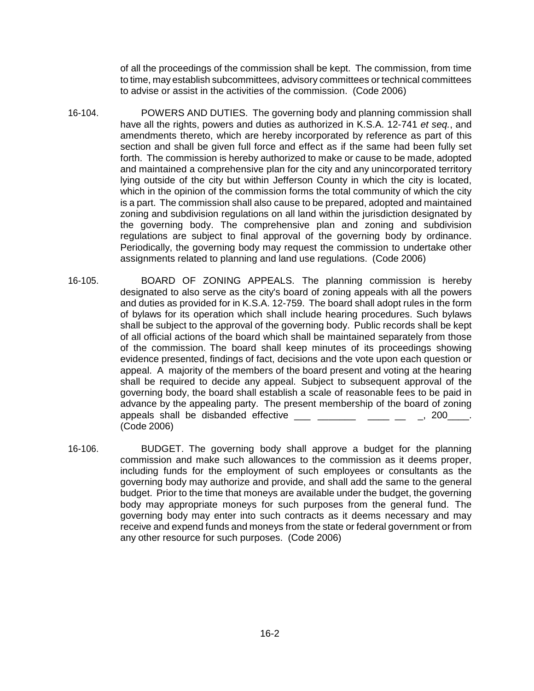of all the proceedings of the commission shall be kept. The commission, from time to time, may establish subcommittees, advisory committees or technical committees to advise or assist in the activities of the commission. (Code 2006)

- 16-104. POWERS AND DUTIES. The governing body and planning commission shall have all the rights, powers and duties as authorized in K.S.A. 12-741 *et seq.*, and amendments thereto, which are hereby incorporated by reference as part of this section and shall be given full force and effect as if the same had been fully set forth. The commission is hereby authorized to make or cause to be made, adopted and maintained a comprehensive plan for the city and any unincorporated territory lying outside of the city but within Jefferson County in which the city is located, which in the opinion of the commission forms the total community of which the city is a part. The commission shall also cause to be prepared, adopted and maintained zoning and subdivision regulations on all land within the jurisdiction designated by the governing body. The comprehensive plan and zoning and subdivision regulations are subject to final approval of the governing body by ordinance. Periodically, the governing body may request the commission to undertake other assignments related to planning and land use regulations. (Code 2006)
- 16-105. BOARD OF ZONING APPEALS. The planning commission is hereby designated to also serve as the city's board of zoning appeals with all the powers and duties as provided for in K.S.A. 12-759. The board shall adopt rules in the form of bylaws for its operation which shall include hearing procedures. Such bylaws shall be subject to the approval of the governing body. Public records shall be kept of all official actions of the board which shall be maintained separately from those of the commission. The board shall keep minutes of its proceedings showing evidence presented, findings of fact, decisions and the vote upon each question or appeal. A majority of the members of the board present and voting at the hearing shall be required to decide any appeal. Subject to subsequent approval of the governing body, the board shall establish a scale of reasonable fees to be paid in advance by the appealing party. The present membership of the board of zoning appeals shall be disbanded effective example and the state of  $\sim$  200  $\sim$ . (Code 2006)
- 16-106. BUDGET. The governing body shall approve a budget for the planning commission and make such allowances to the commission as it deems proper, including funds for the employment of such employees or consultants as the governing body may authorize and provide, and shall add the same to the general budget. Prior to the time that moneys are available under the budget, the governing body may appropriate moneys for such purposes from the general fund. The governing body may enter into such contracts as it deems necessary and may receive and expend funds and moneys from the state or federal government or from any other resource for such purposes. (Code 2006)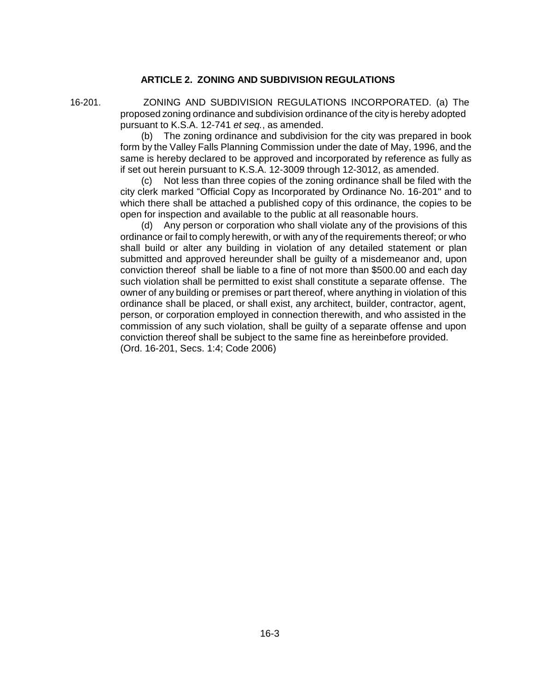# **ARTICLE 2. ZONING AND SUBDIVISION REGULATIONS**

16-201. ZONING AND SUBDIVISION REGULATIONS INCORPORATED. (a) The proposed zoning ordinance and subdivision ordinance of the city is hereby adopted pursuant to K.S.A. 12-741 *et seq.*, as amended.

> (b) The zoning ordinance and subdivision for the city was prepared in book form by the Valley Falls Planning Commission under the date of May, 1996, and the same is hereby declared to be approved and incorporated by reference as fully as if set out herein pursuant to K.S.A. 12-3009 through 12-3012, as amended.

> (c) Not less than three copies of the zoning ordinance shall be filed with the city clerk marked "Official Copy as Incorporated by Ordinance No. 16-201" and to which there shall be attached a published copy of this ordinance, the copies to be open for inspection and available to the public at all reasonable hours.

(d) Any person or corporation who shall violate any of the provisions of this ordinance or fail to comply herewith, or with any of the requirements thereof; or who shall build or alter any building in violation of any detailed statement or plan submitted and approved hereunder shall be guilty of a misdemeanor and, upon conviction thereof shall be liable to a fine of not more than \$500.00 and each day such violation shall be permitted to exist shall constitute a separate offense. The owner of any building or premises or part thereof, where anything in violation of this ordinance shall be placed, or shall exist, any architect, builder, contractor, agent, person, or corporation employed in connection therewith, and who assisted in the commission of any such violation, shall be guilty of a separate offense and upon conviction thereof shall be subject to the same fine as hereinbefore provided. (Ord. 16-201, Secs. 1:4; Code 2006)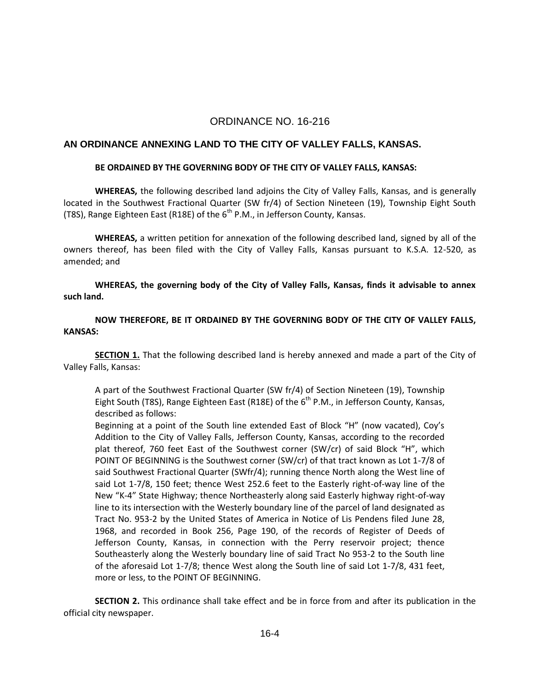# ORDINANCE NO. 16-216

### **AN ORDINANCE ANNEXING LAND TO THE CITY OF VALLEY FALLS, KANSAS.**

#### **BE ORDAINED BY THE GOVERNING BODY OF THE CITY OF VALLEY FALLS, KANSAS:**

**WHEREAS,** the following described land adjoins the City of Valley Falls, Kansas, and is generally located in the Southwest Fractional Quarter (SW fr/4) of Section Nineteen (19), Township Eight South (T8S), Range Eighteen East (R18E) of the  $6<sup>th</sup>$  P.M., in Jefferson County, Kansas.

**WHEREAS,** a written petition for annexation of the following described land, signed by all of the owners thereof, has been filed with the City of Valley Falls, Kansas pursuant to K.S.A. 12-520, as amended; and

**WHEREAS, the governing body of the City of Valley Falls, Kansas, finds it advisable to annex such land.**

**NOW THEREFORE, BE IT ORDAINED BY THE GOVERNING BODY OF THE CITY OF VALLEY FALLS, KANSAS:**

**SECTION 1.** That the following described land is hereby annexed and made a part of the City of Valley Falls, Kansas:

A part of the Southwest Fractional Quarter (SW fr/4) of Section Nineteen (19), Township Eight South (T8S), Range Eighteen East (R18E) of the  $6<sup>th</sup>$  P.M., in Jefferson County, Kansas, described as follows:

Beginning at a point of the South line extended East of Block "H" (now vacated), Coy's Addition to the City of Valley Falls, Jefferson County, Kansas, according to the recorded plat thereof, 760 feet East of the Southwest corner (SW/cr) of said Block "H", which POINT OF BEGINNING is the Southwest corner (SW/cr) of that tract known as Lot 1-7/8 of said Southwest Fractional Quarter (SWfr/4); running thence North along the West line of said Lot 1-7/8, 150 feet; thence West 252.6 feet to the Easterly right-of-way line of the New "K-4" State Highway; thence Northeasterly along said Easterly highway right-of-way line to its intersection with the Westerly boundary line of the parcel of land designated as Tract No. 953-2 by the United States of America in Notice of Lis Pendens filed June 28, 1968, and recorded in Book 256, Page 190, of the records of Register of Deeds of Jefferson County, Kansas, in connection with the Perry reservoir project; thence Southeasterly along the Westerly boundary line of said Tract No 953-2 to the South line of the aforesaid Lot 1-7/8; thence West along the South line of said Lot 1-7/8, 431 feet, more or less, to the POINT OF BEGINNING.

**SECTION 2.** This ordinance shall take effect and be in force from and after its publication in the official city newspaper.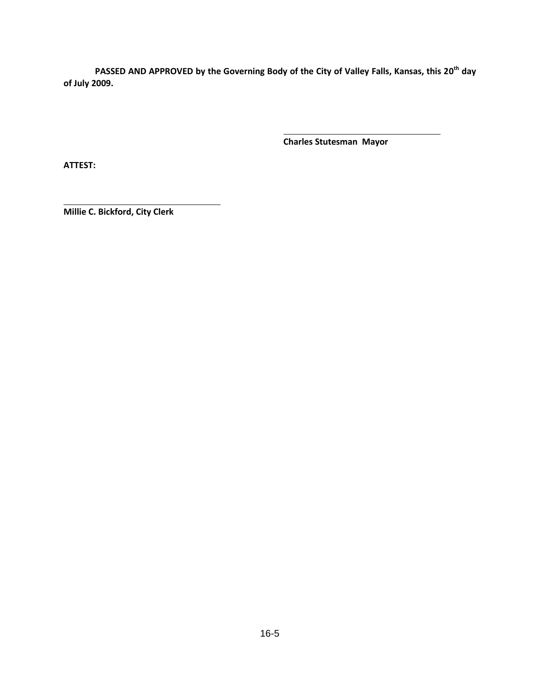PASSED AND APPROVED by the Governing Body of the City of Valley Falls, Kansas, this 20<sup>th</sup> day **of July 2009.**

**Charles Stutesman Mayor**

**ATTEST:**

**Millie C. Bickford, City Clerk**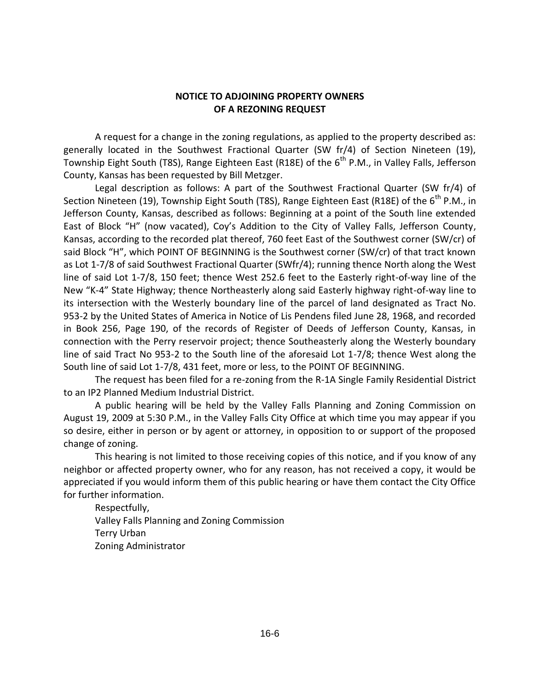# **NOTICE TO ADJOINING PROPERTY OWNERS OF A REZONING REQUEST**

A request for a change in the zoning regulations, as applied to the property described as: generally located in the Southwest Fractional Quarter (SW fr/4) of Section Nineteen (19), Township Eight South (T8S), Range Eighteen East (R18E) of the  $6<sup>th</sup>$  P.M., in Valley Falls, Jefferson County, Kansas has been requested by Bill Metzger.

Legal description as follows: A part of the Southwest Fractional Quarter (SW fr/4) of Section Nineteen (19), Township Eight South (T8S), Range Eighteen East (R18E) of the 6<sup>th</sup> P.M., in Jefferson County, Kansas, described as follows: Beginning at a point of the South line extended East of Block "H" (now vacated), Coy's Addition to the City of Valley Falls, Jefferson County, Kansas, according to the recorded plat thereof, 760 feet East of the Southwest corner (SW/cr) of said Block "H", which POINT OF BEGINNING is the Southwest corner (SW/cr) of that tract known as Lot 1-7/8 of said Southwest Fractional Quarter (SWfr/4); running thence North along the West line of said Lot 1-7/8, 150 feet; thence West 252.6 feet to the Easterly right-of-way line of the New "K-4" State Highway; thence Northeasterly along said Easterly highway right-of-way line to its intersection with the Westerly boundary line of the parcel of land designated as Tract No. 953-2 by the United States of America in Notice of Lis Pendens filed June 28, 1968, and recorded in Book 256, Page 190, of the records of Register of Deeds of Jefferson County, Kansas, in connection with the Perry reservoir project; thence Southeasterly along the Westerly boundary line of said Tract No 953-2 to the South line of the aforesaid Lot 1-7/8; thence West along the South line of said Lot 1-7/8, 431 feet, more or less, to the POINT OF BEGINNING.

The request has been filed for a re-zoning from the R-1A Single Family Residential District to an IP2 Planned Medium Industrial District.

A public hearing will be held by the Valley Falls Planning and Zoning Commission on August 19, 2009 at 5:30 P.M., in the Valley Falls City Office at which time you may appear if you so desire, either in person or by agent or attorney, in opposition to or support of the proposed change of zoning.

This hearing is not limited to those receiving copies of this notice, and if you know of any neighbor or affected property owner, who for any reason, has not received a copy, it would be appreciated if you would inform them of this public hearing or have them contact the City Office for further information.

Respectfully, Valley Falls Planning and Zoning Commission Terry Urban Zoning Administrator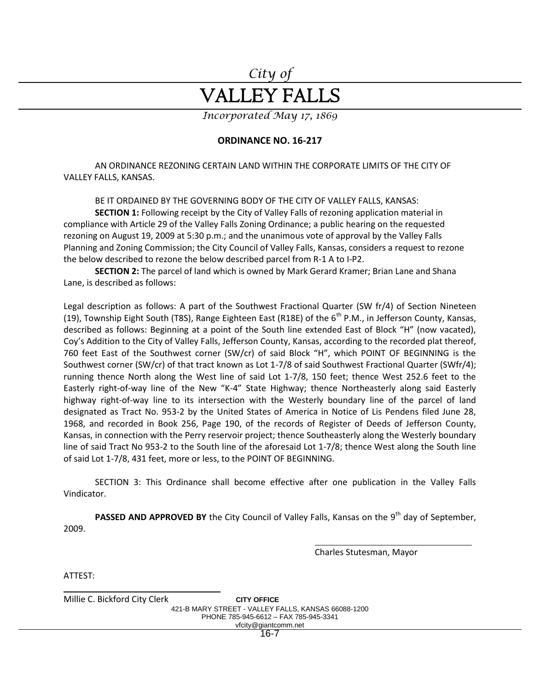# *City of* VALLEY FALLS

*Incorporated May 17, 1869*

# **ORDINANCE NO. 16-217**

AN ORDINANCE REZONING CERTAIN LAND WITHIN THE CORPORATE LIMITS OF THE CITY OF VALLEY FALLS, KANSAS.

BE IT ORDAINED BY THE GOVERNING BODY OF THE CITY OF VALLEY FALLS, KANSAS:

**SECTION 1:** Following receipt by the City of Valley Falls of rezoning application material in compliance with Article 29 of the Valley Falls Zoning Ordinance; a public hearing on the requested rezoning on August 19, 2009 at 5:30 p.m.; and the unanimous vote of approval by the Valley Falls Planning and Zoning Commission; the City Council of Valley Falls, Kansas, considers a request to rezone the below described to rezone the below described parcel from R-1 A to I-P2.

**SECTION 2:** The parcel of land which is owned by Mark Gerard Kramer; Brian Lane and Shana Lane, is described as follows:

Legal description as follows: A part of the Southwest Fractional Quarter (SW fr/4) of Section Nineteen (19), Township Eight South (T8S), Range Eighteen East (R18E) of the  $6<sup>th</sup>$  P.M., in Jefferson County, Kansas, described as follows: Beginning at a point of the South line extended East of Block "H" (now vacated), Coy's Addition to the City of Valley Falls, Jefferson County, Kansas, according to the recorded plat thereof, 760 feet East of the Southwest corner (SW/cr) of said Block "H", which POINT OF BEGINNING is the Southwest corner (SW/cr) of that tract known as Lot 1-7/8 of said Southwest Fractional Quarter (SWfr/4); running thence North along the West line of said Lot 1-7/8, 150 feet; thence West 252.6 feet to the Easterly right-of-way line of the New "K-4" State Highway; thence Northeasterly along said Easterly highway right-of-way line to its intersection with the Westerly boundary line of the parcel of land designated as Tract No. 953-2 by the United States of America in Notice of Lis Pendens filed June 28, 1968, and recorded in Book 256, Page 190, of the records of Register of Deeds of Jefferson County, Kansas, in connection with the Perry reservoir project; thence Southeasterly along the Westerly boundary line of said Tract No 953-2 to the South line of the aforesaid Lot 1-7/8; thence West along the South line of said Lot 1-7/8, 431 feet, more or less, to the POINT OF BEGINNING.

SECTION 3: This Ordinance shall become effective after one publication in the Valley Falls Vindicator.

PASSED AND APPROVED BY the City Council of Valley Falls, Kansas on the 9<sup>th</sup> day of September, 2009.

Charles Stutesman, Mayor

ATTEST:

Millie C. Bickford City Clerk **CITY OFFICE** 421-B MARY STREET - VALLEY FALLS, KANSAS 66088-1200 PHONE 785-945-6612 – FAX 785-945-3341 vfcity@giantcomm.net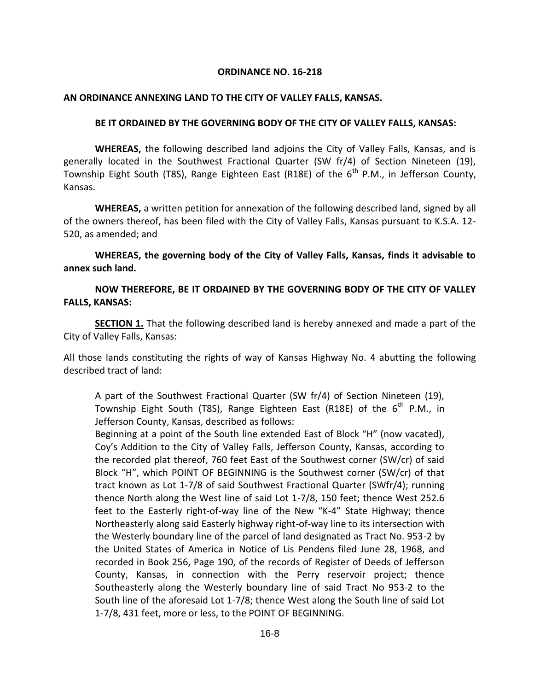### **ORDINANCE NO. 16-218**

### **AN ORDINANCE ANNEXING LAND TO THE CITY OF VALLEY FALLS, KANSAS.**

### **BE IT ORDAINED BY THE GOVERNING BODY OF THE CITY OF VALLEY FALLS, KANSAS:**

**WHEREAS,** the following described land adjoins the City of Valley Falls, Kansas, and is generally located in the Southwest Fractional Quarter (SW fr/4) of Section Nineteen (19), Township Eight South (T8S), Range Eighteen East (R18E) of the  $6<sup>th</sup>$  P.M., in Jefferson County, Kansas.

**WHEREAS,** a written petition for annexation of the following described land, signed by all of the owners thereof, has been filed with the City of Valley Falls, Kansas pursuant to K.S.A. 12- 520, as amended; and

**WHEREAS, the governing body of the City of Valley Falls, Kansas, finds it advisable to annex such land.**

**NOW THEREFORE, BE IT ORDAINED BY THE GOVERNING BODY OF THE CITY OF VALLEY FALLS, KANSAS:**

**SECTION 1.** That the following described land is hereby annexed and made a part of the City of Valley Falls, Kansas:

All those lands constituting the rights of way of Kansas Highway No. 4 abutting the following described tract of land:

A part of the Southwest Fractional Quarter (SW fr/4) of Section Nineteen (19), Township Eight South (T8S), Range Eighteen East (R18E) of the  $6<sup>th</sup>$  P.M., in Jefferson County, Kansas, described as follows:

Beginning at a point of the South line extended East of Block "H" (now vacated), Coy's Addition to the City of Valley Falls, Jefferson County, Kansas, according to the recorded plat thereof, 760 feet East of the Southwest corner (SW/cr) of said Block "H", which POINT OF BEGINNING is the Southwest corner (SW/cr) of that tract known as Lot 1-7/8 of said Southwest Fractional Quarter (SWfr/4); running thence North along the West line of said Lot 1-7/8, 150 feet; thence West 252.6 feet to the Easterly right-of-way line of the New "K-4" State Highway; thence Northeasterly along said Easterly highway right-of-way line to its intersection with the Westerly boundary line of the parcel of land designated as Tract No. 953-2 by the United States of America in Notice of Lis Pendens filed June 28, 1968, and recorded in Book 256, Page 190, of the records of Register of Deeds of Jefferson County, Kansas, in connection with the Perry reservoir project; thence Southeasterly along the Westerly boundary line of said Tract No 953-2 to the South line of the aforesaid Lot 1-7/8; thence West along the South line of said Lot 1-7/8, 431 feet, more or less, to the POINT OF BEGINNING.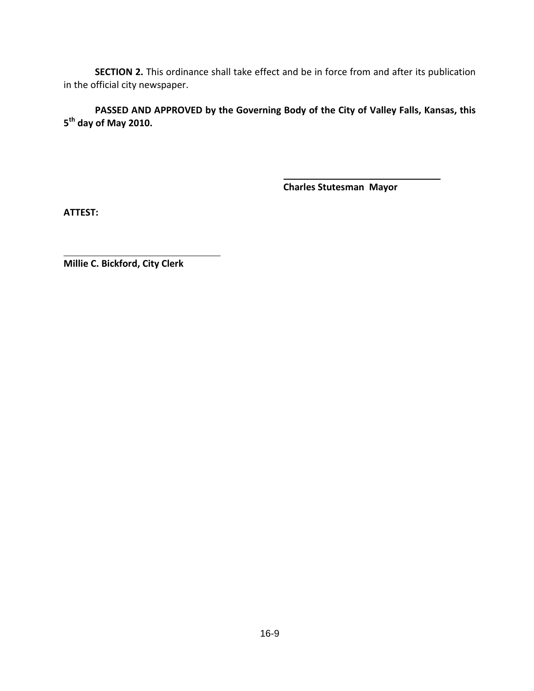**SECTION 2.** This ordinance shall take effect and be in force from and after its publication in the official city newspaper.

**PASSED AND APPROVED by the Governing Body of the City of Valley Falls, Kansas, this 5 th day of May 2010.**

**Charles Stutesman Mayor**

**ATTEST:**

**Millie C. Bickford, City Clerk**